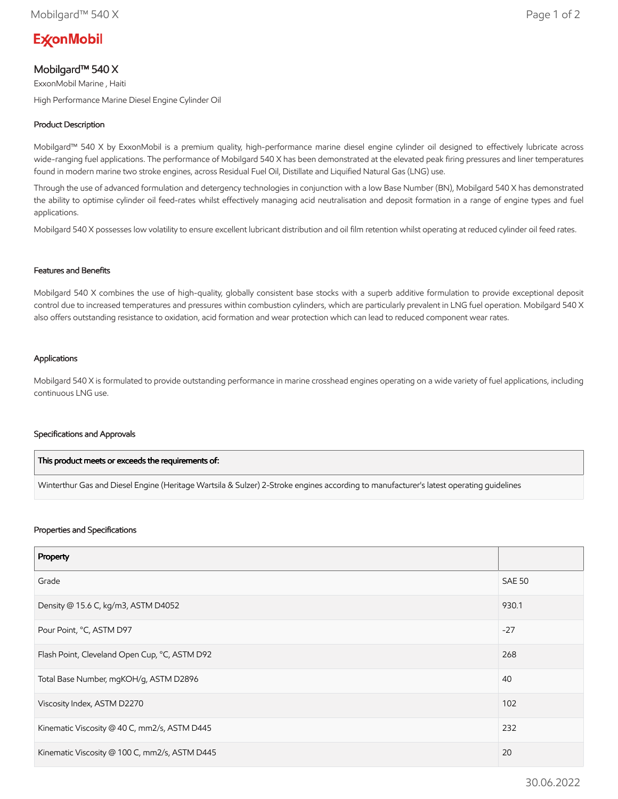# **ExconMobil**

# Mobilgard™ 540 X

ExxonMobil Marine , Haiti

High Performance Marine Diesel Engine Cylinder Oil

## Product Description

Mobilgard™ 540 X by ExxonMobil is a premium quality, high-performance marine diesel engine cylinder oil designed to effectively lubricate across wide-ranging fuel applications. The performance of Mobilgard 540 X has been demonstrated at the elevated peak firing pressures and liner temperatures found in modern marine two stroke engines, across Residual Fuel Oil, Distillate and Liquified Natural Gas (LNG) use.

Through the use of advanced formulation and detergency technologies in conjunction with a low Base Number (BN), Mobilgard 540 X has demonstrated the ability to optimise cylinder oil feed-rates whilst effectively managing acid neutralisation and deposit formation in a range of engine types and fuel applications.

Mobilgard 540 X possesses low volatility to ensure excellent lubricant distribution and oil film retention whilst operating at reduced cylinder oil feed rates.

#### Features and Benefits

Mobilgard 540 X combines the use of high-quality, globally consistent base stocks with a superb additive formulation to provide exceptional deposit control due to increased temperatures and pressures within combustion cylinders, which are particularly prevalent in LNG fuel operation. Mobilgard 540 X also offers outstanding resistance to oxidation, acid formation and wear protection which can lead to reduced component wear rates.

#### Applications

Mobilgard 540 X is formulated to provide outstanding performance in marine crosshead engines operating on a wide variety of fuel applications, including continuous LNG use.

#### Specifications and Approvals

| This product meets or exceeds the requirements of:                                                                                     |  |
|----------------------------------------------------------------------------------------------------------------------------------------|--|
| Winterthur Gas and Diesel Engine (Heritage Wartsila & Sulzer) 2-Stroke engines according to manufacturer's latest operating quidelines |  |

#### Properties and Specifications

| Property                                      |               |
|-----------------------------------------------|---------------|
| Grade                                         | <b>SAE 50</b> |
| Density @ 15.6 C, kg/m3, ASTM D4052           | 930.1         |
| Pour Point, °C, ASTM D97                      | $-27$         |
| Flash Point, Cleveland Open Cup, °C, ASTM D92 | 268           |
| Total Base Number, mgKOH/g, ASTM D2896        | 40            |
| Viscosity Index, ASTM D2270                   | 102           |
| Kinematic Viscosity @ 40 C, mm2/s, ASTM D445  | 232           |
| Kinematic Viscosity @ 100 C, mm2/s, ASTM D445 | 20            |